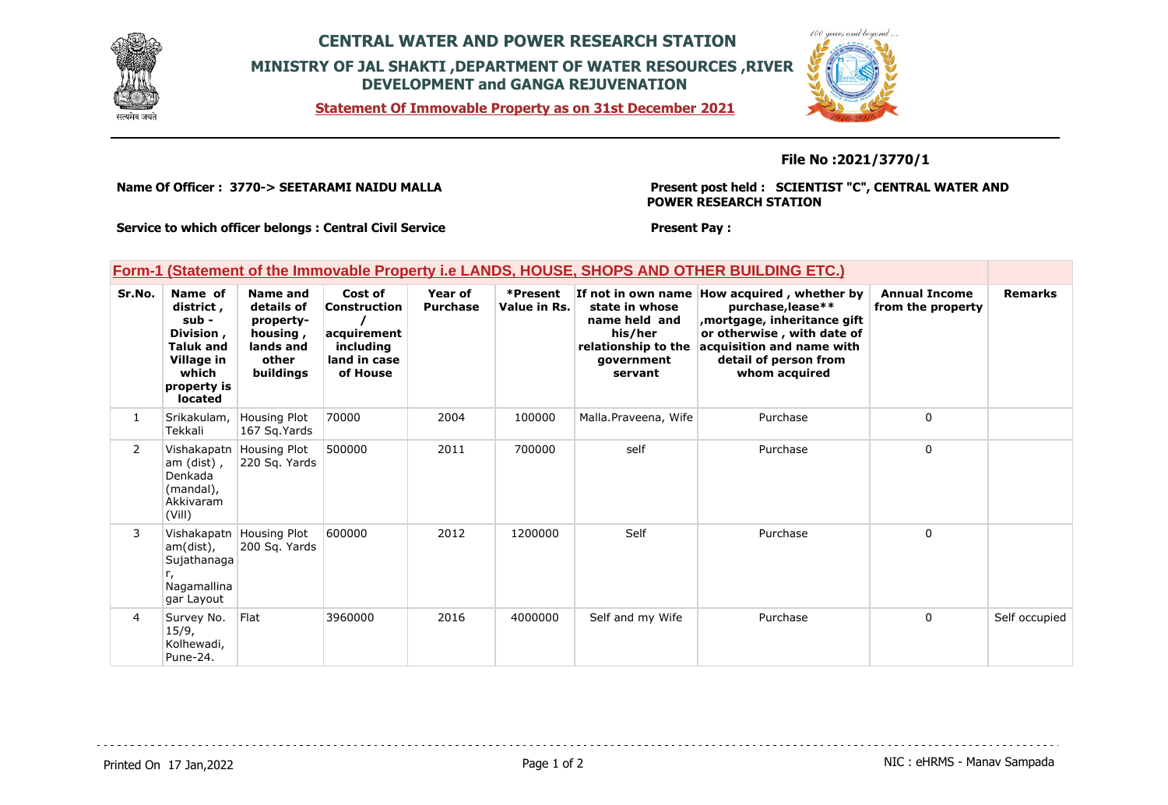

## **CENTRAL WATER AND POWER RESEARCH STATION MINISTRY OF JAL SHAKTI ,DEPARTMENT OF WATER RESOURCES ,RIVER DEVELOPMENT and GANGA REJUVENATION**

**Statement Of Immovable Property as on 31st December 2021**



**File No :2021/3770/1**

**Name Of Officer : 3770-> SEETARAMI NAIDU MALLA** 

**Present post held : SCIENTIST "C", CENTRAL WATER AND POWER RESEARCH STATION**

**Service to which officer belongs : Central Civil Service**

### **Present Pay :**

### **Form-1 (Statement of the Immovable Property i.e LANDS, HOUSE, SHOPS AND OTHER BUILDING ETC.)**

| Sr.No.         | Name of<br>district,<br>sub -<br>Division,<br><b>Taluk and</b><br>Village in<br>which<br>property is<br>located | Name and<br>details of<br>property-<br>housing,<br>lands and<br>other<br>buildings | Cost of<br>Construction<br>acquirement<br>including<br>land in case<br>of House | Year of<br><b>Purchase</b> | *Present<br>Value in Rs. | If not in own name<br>state in whose<br>name held and<br>his/her<br>relationship to the<br>qovernment<br>servant | How acquired, whether by<br>purchase, lease**<br>, mortgage, inheritance gift<br>or otherwise, with date of<br>acquisition and name with<br>detail of person from<br>whom acquired | <b>Annual Income</b><br>from the property | <b>Remarks</b> |
|----------------|-----------------------------------------------------------------------------------------------------------------|------------------------------------------------------------------------------------|---------------------------------------------------------------------------------|----------------------------|--------------------------|------------------------------------------------------------------------------------------------------------------|------------------------------------------------------------------------------------------------------------------------------------------------------------------------------------|-------------------------------------------|----------------|
| $\mathbf{1}$   | Srikakulam,<br>Tekkali                                                                                          | Housing Plot<br>167 Sq. Yards                                                      | 70000                                                                           | 2004                       | 100000                   | Malla.Praveena, Wife                                                                                             | Purchase                                                                                                                                                                           | 0                                         |                |
| $\overline{2}$ | am (dist),<br>Denkada<br>(mandal),<br>Akkivaram<br>(Vill)                                                       | Vishakapatn Housing Plot<br>220 Sq. Yards                                          | 500000                                                                          | 2011                       | 700000                   | self                                                                                                             | Purchase                                                                                                                                                                           | $\mathbf 0$                               |                |
| 3              | am(dist),<br>Sujathanaga<br>Nagamallina<br>gar Layout                                                           | Vishakapatn Housing Plot<br>200 Sq. Yards                                          | 600000                                                                          | 2012                       | 1200000                  | Self                                                                                                             | Purchase                                                                                                                                                                           | 0                                         |                |
| 4              | Survey No.<br>15/9,<br>Kolhewadi,<br>Pune-24.                                                                   | Flat                                                                               | 3960000                                                                         | 2016                       | 4000000                  | Self and my Wife                                                                                                 | Purchase                                                                                                                                                                           | $\mathbf 0$                               | Self occupied  |